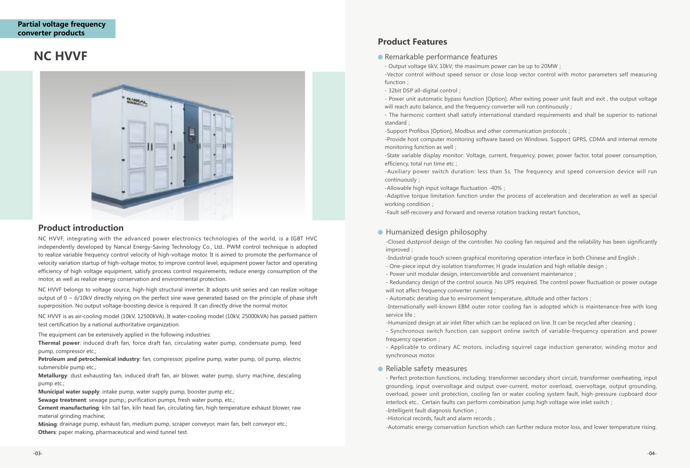NC HVVF, integrating with the advanced power electronics technologies of the world, is a IGBT HVC independently developed by Nancal Energy-Saving Technology Co., Ltd.. PWM control technique is adopted to realize variable frequency control velocity of high-voltage motor. It is aimed to promote the performance of velocity variation startup of high-voltage motor, to improve control level, equipment power factor and operating efficiency of high voltage equipment, satisfy process control requirements, reduce energy consumption of the motor, as well as realize energy conservation and environmental protection.

NC HVVF belongs to voltage source, high-high structural inverter. It adopts unit series and can realize voltage output of  $0 \sim 6/10$ kV directly relying on the perfect sine wave generated based on the principle of phase shift superposition. No output voltage-boosting device is required. It can directly drive the normal motor.

NC HVVF is as air-cooling model (10kV, 12500kVA). It water-cooling model (10kV, 25000kVA) has passed pattern test certification by a national authoritative organization.

The equipment can be extensively applied in the following industries:

- One-piece input dry isolation transformer, H grade insulation and high reliable design;
- Power unit modular design, interconvertible and convenient maintenance;
- will not affect frequency converter running;

**Thermal power**: induced draft fan, force draft fan, circulating water pump, condensate pump, feed pump, compressor etc.;

- Automatic derating due to environment temperature, altitude and other factors; -Internationally well-known EBM outer rotor cooling fan is adopted which is maintenance-free with long service life;

**Petroleum and petrochemical industry**: fan, compressor, pipeline pump, water pump, oil pump, electric submersible pump etc.;

**Metallurgy**: dust exhausting fan, induced draft fan, air blower, water pump, slurry machine, descaling pump etc.;

**Municipal water supply**: intake pump, water supply pump, booster pump etc.;

**Sewage treatment**: sewage pump,; purification pumps, fresh water pump, etc.;

**Cement manufacturing**: kiln tail fan, kiln head fan, circulating fan, high temperature exhaust blower, raw material grinding machine;

will reach auto balance, and the frequency converter will run continuously; - The harmonic content shall satisfy international standard requirements and shall be superior to national standard;

**Mining**: drainage pump, exhaust fan, medium pump, scraper conveyor, main fan, belt conveyor etc.; **Others**: paper making, pharmaceutical and wind tunnel test.

-State variable display monitor: Voltage, current, frequency, power, power factor, total power consumption, efficiency, total run time etc :

# **NC HVVF**



### **Product introduction**

-Closed dustproof design of the controller. No cooling fan required and the reliability has been significantly improved;

-Industrial-grade touch screen graphical monitoring operation interface in both Chinese and English;

- Redundancy design of the control source. No UPS required. The control power fluctuation or power outage

-Humanized design at air inlet filter which can be replaced on line. It can be recycled after cleaning; - Synchronous switch function can support online switch of variable-frequency operation and power frequency operation;

- Applicable to ordinary AC motors, including squirrel cage induction generator, winding motor and synchronous motor.

### **• Reliable safety measures**

- Remarkable performance features
- Output voltage 6kV, 10kV; the maximum power can be up to 20MW; -Vector control without speed sensor or close loop vector control with motor parameters self measuring function;
- 32bit DSP all-digital control;
- Power unit automatic bypass function [Option]. After exiting power unit fault and exit , the output voltage

-Support Profibus [Option], Modbus and other communication protocols; -Provide host computer monitoring software based on Windows. Support GPRS, CDMA and internal remote monitoring function as well;

-Auxiliary power switch duration: less than 5s. The frequency and speed conversion device will run continuously;

-Allowable high input voltage fluctuation -40%;

-Adaptive torque limitation function under the process of acceleration and deceleration as well as special working condition;

-Fault self-recovery and forward and reverse rotation tracking restart function。

### ● Humanized design philosophy

- Perfect protection functions, including: transformer secondary short circuit, transformer overheating, input grounding, input overvoltage and output over-current, motor overload, overvoltage, output grounding, overload, power unit protection, cooling fan or water cooling system fault, high-pressure cupboard door interlock etc.. Certain faults can perform combination jump high voltage wire inlet switch; -Intelligent fault diagnosis function;

-Historical records, fault and alarm records;

-Automatic energy conservation function which can further reduce motor loss, and lower temperature rising.

### **Product Features**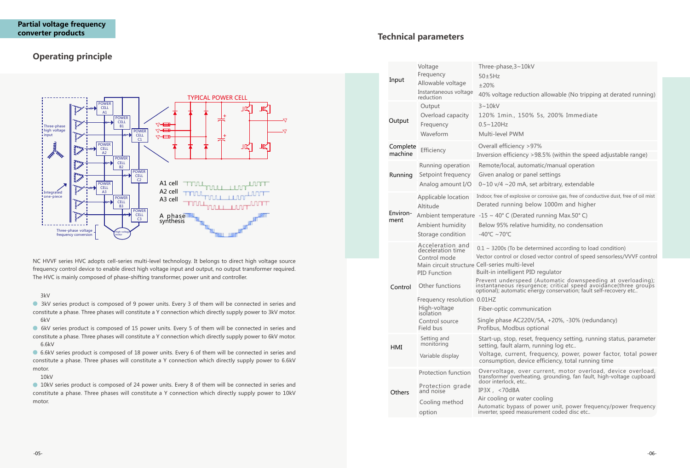

## **Operating principle**

NC HVVF series HVC adopts cell-series multi-level technology. It belongs to direct high voltage source frequency control device to enable direct high voltage input and output, no output transformer required. The HVC is mainly composed of phase-shifting transformer, power unit and controller.

#### 3kV

**10kV** series product is composed of 24 power units. Every 8 of them will be connected in series and constitute a phase. Three phases will constitute a Y connection which directly supply power to 10kV motor.

 3kV series product is composed of 9 power units. Every 3 of them will be connected in series and constitute a phase. Three phases will constitute a Y connection which directly supply power to 3kV motor. 6kV

 6kV series product is composed of 15 power units. Every 5 of them will be connected in series and constitute a phase. Three phases will constitute a Y connection which directly supply power to 6kV motor. 6.6kV

 6.6kV series product is composed of 18 power units. Every 6 of them will be connected in series and constitute a phase. Three phases will constitute a Y connection which directly supply power to 6.6kV motor.

10kV

peed (Automatic downspeeding at overloading); instantaneous resurgence; critical speed avoidance(three groups optional); automatic energy conservation; fault self-recovery etc..

mmunication

C220V/5A, +20%, -30% (redundancy) pus optional

reset, frequency setting, running status, parameter larm, running log etc..

Int, frequency, power, power factor, total power device efficiency, total running time

## **Technical parameters**

Overvoltage, over current, motor overload, device overload, transformer overheating, grounding, fan fault, high-voltage cupboard etc..

water cooling

ass of power unit, power frequency/power frequency neasurement coded disc etc..

| Input               | Voltage<br>Frequency<br>Allowable voltage<br>Instantaneous voltage<br>reduction                                          | Three-phase, 3~<br>$50\pm5$ Hz<br>±20%<br>40% voltage re                                |  |  |
|---------------------|--------------------------------------------------------------------------------------------------------------------------|-----------------------------------------------------------------------------------------|--|--|
| Output              | Output<br>Overload capacity<br>Frequency<br>Waveform                                                                     | $3 - 10kV$<br>120% 1min., 2<br>$0.5 - 120$ Hz<br>Multi-level PWI                        |  |  |
| Complete<br>machine | Efficiency                                                                                                               | Overall efficien<br><b>Inversion</b> efficie                                            |  |  |
| Running             | Running operation<br>Setpoint frequency<br>Analog amount I/O                                                             | Remote/local, a<br>Given analog o<br>$0 - 10$ v/4 $\sim$ 20 r                           |  |  |
| Environ-<br>ment    | Applicable location<br>Altitude<br>Ambient temperature<br>Ambient humidity                                               | Indoor, free of expl<br>Derated runnin<br>$-15 \sim 40^{\circ}$ C (De<br>Below 95% rela |  |  |
|                     | Storage condition                                                                                                        | -40°C ~70°C                                                                             |  |  |
|                     | Acceleration and<br>deceleration time<br>Control mode<br>Main circuit structure Cell-series multi<br><b>PID Function</b> | $0.1 \sim 3200$ s (To b<br>Vector control or<br>Built-in intellige<br>Prevent unders    |  |  |
| Control             | Other functions<br>Frequency resolution 0.01HZ                                                                           | instantaneous ri<br>optional); automa                                                   |  |  |
|                     | High-voltage<br>isolation                                                                                                | Fiber-optic con                                                                         |  |  |
|                     | Control source<br>Field bus                                                                                              | Single phase AC<br>Profibus, Modb                                                       |  |  |
| HMI                 | Setting and<br>monitoring<br>Variable display                                                                            | Start-up, stop,<br>setting, fault al<br>Voltage, curre                                  |  |  |
|                     |                                                                                                                          | consumption, o                                                                          |  |  |
| Others              | Protection function<br>Protection grade<br>and noise                                                                     | Overvoltage,<br>transformer ove<br>door interlock, e<br>IP3X, <70dBA                    |  |  |
|                     | Cooling method<br>option                                                                                                 | Air cooling or w<br>Automatic bypa<br>inverter, speed m                                 |  |  |

### $-10kV$

eduction allowable (No tripping at derated running)

150% 5s, 200% Immediate

 $M'$ 

 $10y > 97%$ 

ency >98.5% (within the speed adjustable range)

automatic/manual operation

or panel settings

mA, set arbitrary, extendable

losive or corrosive gas, free of conductive dust, free of oil mist ng below 1000m and higher

erated running Max.50° C)

ative humidity, no condensation

be determined according to load condition)

closed vector control of speed sensorless/VVVF control i-level

ent PID regulator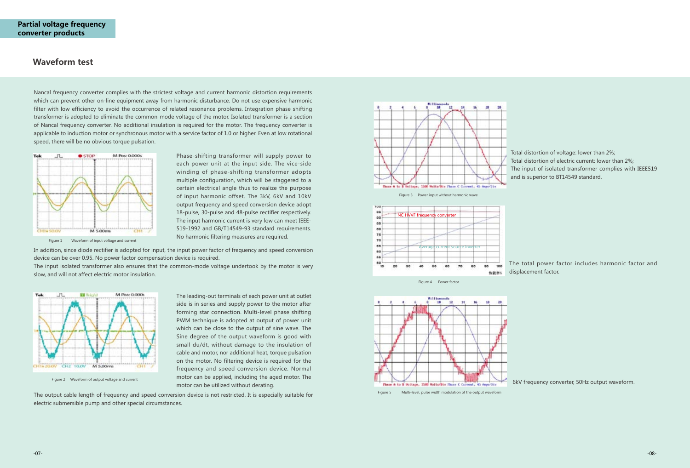### **Waveform test**

Phase-shifting transformer will supply power to each power unit at the input side. The vice-side winding of phase-shifting transformer adopts multiple configuration, which will be staggered to a certain electrical angle thus to realize the purpose of input harmonic offset. The 3kV, 6kV and 10kV output frequency and speed conversion device adopt 18-pulse, 30-pulse and 48-pulse rectifier respectively. The input harmonic current is very low can meet IEEE-519-1992 and GB/T14549-93 standard requirements.



Figure 2 Waveform of output voltage and current

The leading-out terminals of each power unit at outlet side is in series and supply power to the motor after forming star connection. Multi-level phase shifting PWM technique is adopted at output of power unit which can be close to the output of sine wave. The Sine degree of the output waveform is good with small du/dt, without damage to the insulation of cable and motor, nor additional heat, torque pulsation on the motor. No filtering device is required for the frequency and speed conversion device. Normal motor can be applied, including the aged motor. The motor can be utilized without derating.

Nancal frequency converter complies with the strictest voltage and current harmonic distortion requirements which can prevent other on-line equipment away from harmonic disturbance. Do not use expensive harmonic filter with low efficiency to avoid the occurrence of related resonance problems. Integration phase shifting transformer is adopted to eliminate the common-mode voltage of the motor. Isolated transformer is a section of Nancal frequency converter. No additional insulation is required for the motor. The frequency converter is applicable to induction motor or synchronous motor with a service factor of 1.0 or higher. Even at low rotational speed, there will be no obvious torque pulsation.



Total distortion of voltage: lower than 2%; Total distortion of electric current: lower than 2%; The input of isolated transformer complies with IEEE519 and is superior to BT14549 standard.

The total power factor includes harmonic factor and displacement factor.



Plaze & to B Soltage, 1500 Solts/Big Plaze C

6kV frequency converter, 50Hz output waveform.

In addition, since diode rectifier is adopted for input, the input power factor of frequency and speed conversion device can be over 0.95. No power factor compensation device is required.

The input isolated transformer also ensures that the common-mode voltage undertook by the motor is very slow, and will not affect electric motor insulation.



The output cable length of frequency and speed conversion device is not restricted. It is especially suitable for electric submersible pump and other special circumstances.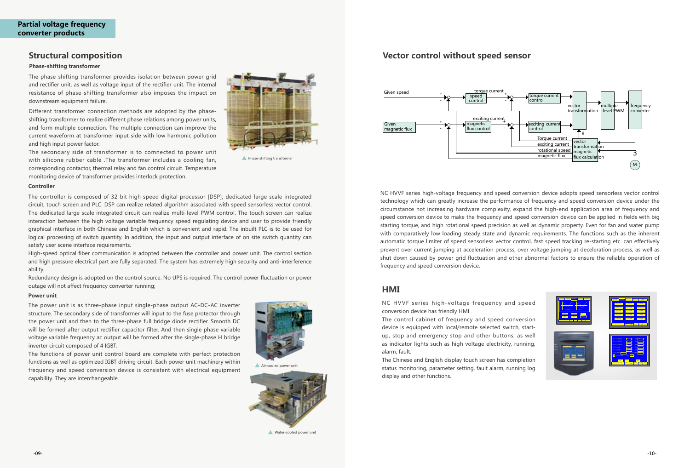### **Structural composition**

#### **Phase-shifting transformer**

The phase-shifting transformer provides isolation between power grid and rectifier unit, as well as voltage input of the rectifier unit. The internal resistance of phase-shifting transformer also imposes the impact on downstream equipment failure.

Different transformer connection methods are adopted by the phaseshifting transformer to realize different phase relations among power units, and form multiple connection. The multiple connection can improve the current waveform at transformer input side with low harmonic pollution and high input power factor.

The secondary side of transformer is to comnected to power unit with silicone rubber cable .The transformer includes a cooling fan, corresponding contactor, thermal relay and fan control circuit. Temperature monitoring device of transformer provides interlock protection.



**A** Phase-shifting transformer

#### **Controller**

The controller is composed of 32-bit high speed digital processor [DSP], dedicated large scale integrated circuit, touch screen and PLC. DSP can realize related algorithm associated with speed sensorless vector control. The dedicated large scale integrated circuit can realize multi-level PWM control. The touch screen can realize interaction between the high voltage variable frequency speed regulating device and user to provide friendly graphical interface in both Chinese and English which is convenient and rapid. The inbuilt PLC is to be used for logical processing of switch quantity. In addition, the input and output interface of on site switch quantity can satisfy user scene interface requirements.

High-speed optical fiber communication is adopted between the controller and power unit. The control section and high pressure electrical part are fully separated. The system has extremely high security and anti-interference ability.

Redundancy design is adopted on the control source. No UPS is required. The control power fluctuation or power outage will not affect frequency converter running;

NC HVVF series high-voltage frequency and speed conversion device adopts speed sensorless vector control technology which can greatly increase the performance of frequency and speed conversion device under the circumstance not increasing hardware complexity, expand the high-end application area of frequency and speed conversion device to make the frequency and speed conversion device can be applied in fields with big starting torque, and high rotational speed precision as well as dynamic property. Even for fan and water pump with comparatively low loading steady state and dynamic requirements. The functions such as the inherent automatic torque limiter of speed sensorless vector control, fast speed tracking re-starting etc. can effectively prevent over current jumping at acceleration process, over voltage jumping at deceleration process, as well as shut down caused by power grid fluctuation and other abnormal factors to ensure the reliable operation of frequency and speed conversion device.

### **Vector control without speed sensor**

### **HMI**

NC HVVF series high-voltage frequency and speed conversion device has friendly HMI.

The control cabinet of frequency and speed conversion device is equipped with local/remote selected switch, startup, stop and emergency stop and other buttons, as well as indicator lights such as high voltage electricity, running, alarm, fault.

The Chinese and English display touch screen has completion status monitoring, parameter setting, fault alarm, running log display and other functions.



#### **Power unit**

The power unit is as three-phase input single-phase output AC-DC-AC inverter structure. The secondary side of transformer will input to the fuse protector through the power unit and then to the three-phase full bridge diode rectifier. Smooth DC will be formed after output rectifier capacitor filter. And then single phase variable voltage variable frequency ac output will be formed after the single-phase H bridge inverter circuit composed of 4 IGBT.

The functions of power unit control board are complete with perfect protection functions as well as optimized IGBT driving circuit. Each power unit machinery within frequency and speed conversion device is consistent with electrical equipment



capability. They are interchangeable.

Air-cooled power unit



Water-cooled power unit

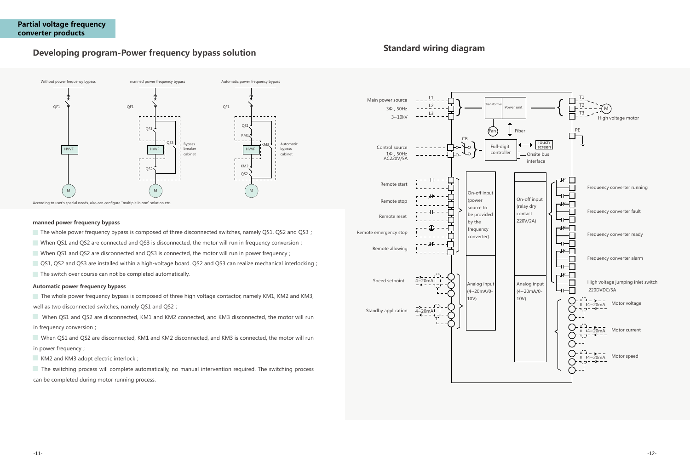## **Developing program-Power frequency bypass solution**



According to user's special needs, also can configure "multiple in one" solution etc..

#### **manned power frequency bypass**

- The whole power frequency bypass is composed of three disconnected switches, namely QS1, QS2 and QS3;
- When QS1 and QS2 are connected and QS3 is disconnected, the motor will run in frequency conversion;
- When QS1 and QS2 are disconnected and QS3 is connected, the motor will run in power frequency;
- QS1, QS2 and QS3 are installed within a high-voltage board. QS2 and QS3 can realize mechanical interlocking;
- $\Box$  The switch over course can not be completed automatically.

 The whole power frequency bypass is composed of three high voltage contactor, namely KM1, KM2 and KM3, well as two disconnected switches, namely QS1 and QS2 ;

When QS1 and QS2 are disconnected, KM1 and KM2 connected, and KM3 disconnected, the motor will run in frequency conversion;

When QS1 and QS2 are disconnected, KM1 and KM2 disconnected, and KM3 is connected, the motor will run in power frequency;

KM2 and KM3 adopt electric interlock;

#### **Automatic power frequency bypass**

 The switching process will complete automatically, no manual intervention required. The switching process can be completed during motor running process.

## **Standard wiring diagram**

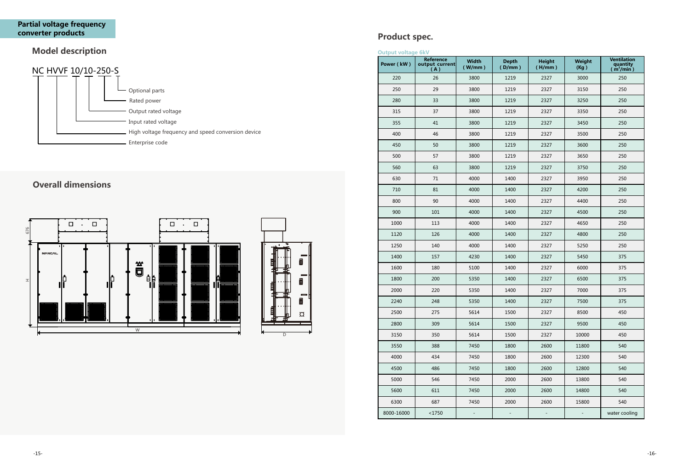## **Model description**

## NC HVVF 10/10-250-S Optional parts Rated power Output rated voltage Input rated voltage High voltage frequency and speed conversion device Enterprise code

## **Product spec.**

**Output voltage 6kV**

| υαιραι νυπαγε σκν | Reference             | <b>Width</b> | <b>Depth</b> | <b>Height</b> | Weight | <b>Ventilation</b>                |
|-------------------|-----------------------|--------------|--------------|---------------|--------|-----------------------------------|
| Power (kW)        | output current<br>(A) | (W/mm)       | (D/mm)       | (H/mm)        | (Kg)   | quantity<br>(m <sup>3</sup> /min) |
| 220               | 26                    | 3800         | 1219         | 2327          | 3000   | 250                               |
| 250               | 29                    | 3800         | 1219         | 2327          | 3150   | 250                               |
| 280               | 33                    | 3800         | 1219         | 2327          | 3250   | 250                               |
| 315               | 37                    | 3800         | 1219         | 2327          | 3350   | 250                               |
| 355               | 41                    | 3800         | 1219         | 2327          | 3450   | 250                               |
| 400               | 46                    | 3800         | 1219         | 2327          | 3500   | 250                               |
| 450               | 50                    | 3800         | 1219         | 2327          | 3600   | 250                               |
| 500               | 57                    | 3800         | 1219         | 2327          | 3650   | 250                               |
| 560               | 63                    | 3800         | 1219         | 2327          | 3750   | 250                               |
| 630               | 71                    | 4000         | 1400         | 2327          | 3950   | 250                               |
| 710               | 81                    | 4000         | 1400         | 2327          | 4200   | 250                               |
| 800               | 90                    | 4000         | 1400         | 2327          | 4400   | 250                               |
| 900               | 101                   | 4000         | 1400         | 2327          | 4500   | 250                               |
| 1000              | 113                   | 4000         | 1400         | 2327          | 4650   | 250                               |
| 1120              | 126                   | 4000         | 1400         | 2327          | 4800   | 250                               |
| 1250              | 140                   | 4000         | 1400         | 2327          | 5250   | 250                               |
| 1400              | 157                   | 4230         | 1400         | 2327          | 5450   | 375                               |
| 1600              | 180                   | 5100         | 1400         | 2327          | 6000   | 375                               |
| 1800              | 200                   | 5350         | 1400         | 2327          | 6500   | 375                               |
| 2000              | 220                   | 5350         | 1400         | 2327          | 7000   | 375                               |
| 2240              | 248                   | 5350         | 1400         | 2327          | 7500   | 375                               |
| 2500              | 275                   | 5614         | 1500         | 2327          | 8500   | 450                               |
| 2800              | 309                   | 5614         | 1500         | 2327          | 9500   | 450                               |
| 3150              | 350                   | 5614         | 1500         | 2327          | 10000  | 450                               |
| 3550              | 388                   | 7450         | 1800         | 2600          | 11800  | 540                               |
| 4000              | 434                   | 7450         | 1800         | 2600          | 12300  | 540                               |
| 4500              | 486                   | 7450         | 1800         | 2600          | 12800  | 540                               |
| 5000              | 546                   | 7450         | 2000         | 2600          | 13800  | 540                               |
| 5600              | 611                   | 7450         | 2000         | 2600          | 14800  | 540                               |
| 6300              | 687                   | 7450         | 2000         | 2600          | 15800  | 540                               |
| 8000-16000        | $<$ 1750              | ÷            | Ξ,           | T,            | ÷,     | water cooling                     |

## **Overall dimensions**



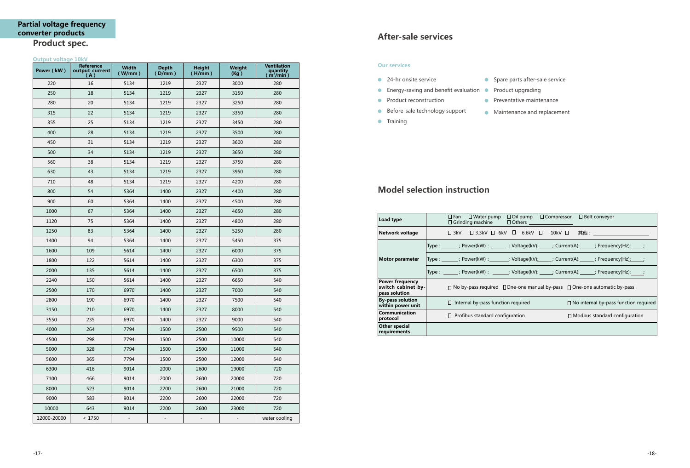| Power (kW)  | Reference<br>output current<br>(A) | Width<br>(W/mm)   | <b>Depth</b><br>(D/mm)   | <b>Height</b><br>(H/mm)  | <b>Weight</b><br>(Kg)    | <b>Ventilation</b><br>quantity<br>( $\mathsf{m}^3\mathsf{/min}$ ) |
|-------------|------------------------------------|-------------------|--------------------------|--------------------------|--------------------------|-------------------------------------------------------------------|
| 220         | 16                                 | 5134              | 1219                     | 2327                     | 3000                     | 280                                                               |
| 250         | 18                                 | 5134              | 1219                     | 2327                     | 3150                     | 280                                                               |
| 280         | 20                                 | 5134              | 1219                     | 2327                     | 3250                     | 280                                                               |
| 315         | 22                                 | 5134              | 1219                     | 2327                     | 3350                     | 280                                                               |
| 355         | 25                                 | 5134              | 1219                     | 2327                     | 3450                     | 280                                                               |
| 400         | 28                                 | 5134              | 1219                     | 2327                     | 3500                     | 280                                                               |
| 450         | 31                                 | 5134              | 1219                     | 2327                     | 3600                     | 280                                                               |
| 500         | 34                                 | 5134              | 1219                     | 2327                     | 3650                     | 280                                                               |
| 560         | 38                                 | 5134              | 1219                     | 2327                     | 3750                     | 280                                                               |
| 630         | 43                                 | 5134              | 1219                     | 2327                     | 3950                     | 280                                                               |
| 710         | 48                                 | 5134              | 1219                     | 2327                     | 4200                     | 280                                                               |
| 800         | 54                                 | 5364              | 1400                     | 2327                     | 4400                     | 280                                                               |
| 900         | 60                                 | 5364              | 1400                     | 2327                     | 4500                     | 280                                                               |
| 1000        | 67                                 | 5364              | 1400                     | 2327                     | 4650                     | 280                                                               |
| 1120        | 75                                 | 5364              | 1400                     | 2327                     | 4800                     | 280                                                               |
| 1250        | 83                                 | 5364              | 1400                     | 2327                     | 5250                     | 280                                                               |
| 1400        | 94                                 | 5364              | 1400                     | 2327                     | 5450                     | 375                                                               |
| 1600        | 109                                | 5614              | 1400                     | 2327                     | 6000                     | 375                                                               |
| 1800        | 122                                | 5614              | 1400                     | 2327                     | 6300                     | 375                                                               |
| 2000        | 135                                | 5614              | 1400                     | 2327                     | 6500                     | 375                                                               |
| 2240        | 150                                | 5614              | 1400                     | 2327                     | 6650                     | 540                                                               |
| 2500        | 170                                | 6970              | 1400                     | 2327                     | 7000                     | 540                                                               |
| 2800        | 190                                | 6970              | 1400                     | 2327                     | 7500                     | 540                                                               |
| 3150        | 210                                | 6970              | 1400                     | 2327                     | 8000                     | 540                                                               |
| 3550        | 235                                | 6970              | 1400                     | 2327                     | 9000                     | 540                                                               |
| 4000        | 264                                | 7794              | 1500                     | 2500                     | 9500                     | 540                                                               |
| 4500        | 298                                | 7794              | 1500                     | 2500                     | 10000                    | 540                                                               |
| 5000        | 328                                | 7794              | 1500                     | 2500                     | 11000                    | 540                                                               |
| 5600        | 365                                | 7794              | 1500                     | 2500                     | 12000                    | 540                                                               |
| 6300        | 416                                | 9014              | 2000                     | 2600                     | 19000                    | 720                                                               |
| 7100        | 466                                | 9014              | 2000                     | 2600                     | 20000                    | 720                                                               |
| 8000        | 523                                | 9014              | 2200                     | 2600                     | 21000                    | 720                                                               |
| 9000        | 583                                | 9014              | 2200                     | 2600                     | 22000                    | 720                                                               |
| 10000       | 643                                | 9014              | 2200                     | 2600                     | 23000                    | 720                                                               |
| 12000-20000 | < 1750                             | $\qquad \qquad -$ | $\overline{\phantom{m}}$ | $\overline{\phantom{a}}$ | $\overline{\phantom{a}}$ | water cooling                                                     |

| $\Box$ Oil pump $\Box$ Compressor $\Box$ Belt conveyor<br>$\Box$ Fan $\Box$ Water pump<br>□ Grinding machine<br>$\Box$ Others $\Box$ |  |
|--------------------------------------------------------------------------------------------------------------------------------------|--|
|                                                                                                                                      |  |
| Type : ________; Power(kW) : _________; Voltage(kV):______; Current(A):_______; Frequency(Hz) <u>:_____;</u>                         |  |
| Type : ________; Power(kW) : ________; Voltage(kV) <u>: _____</u> ; Current(A):______; Frequency(Hz) <u>: ____</u> ;                 |  |
| Type : ________; Power(kW) : _______; Voltage(kV): ______; Current(A):______; Frequency(Hz):_____;                                   |  |
| $\Box$ No by-pass required $\Box$ One-one manual by-pass $\Box$ One-one automatic by-pass                                            |  |
| $\Box$ Internal by-pass function required<br>$\Box$ No internal by-pass function required                                            |  |
| $\Box$ Profibus standard configuration<br>$\Box$ Modbus standard configuration                                                       |  |
|                                                                                                                                      |  |

- 
- **•** Preventative maintenance
- **Maintenance and replacement**

## **After-sale services**

#### **Our services**

- **24-hr onsite service Spare parts after-sale service**
- Energy-saving and benefit evaluation Product upgrading
- **•** Product reconstruction
- **Before-sale technology support**
- **•** Training
- 
- 

## **Model selection instruction**

| Load type                                                     | $\Box$ Fan $\Box$ Water pump<br>$\Box$ Oil pump $\Box$ Compressor $\Box$ Belt conveyor<br>$\Box$ Grinding machine<br>$\Box$ Others $\Box$ |
|---------------------------------------------------------------|-------------------------------------------------------------------------------------------------------------------------------------------|
| Network voltage                                               | □ 3kV  □ 3.3kV  □ 6kV  □  6.6kV  □   10kV  □   其他:                                                                                        |
| <b>Motor parameter</b>                                        | Type : ________; Power(kW) : ________; Voltage(kV):______; Current(A):_______; Frequency(Hz) <u>:_____;</u>                               |
|                                                               | Type : ________; Power(kW) : ________; Voltage(kV) <u>: _____</u> ; Current(A):______; Frequency(Hz) <u>: ____</u> ;                      |
|                                                               | Type : ______; Power(kW) : ______; Voltage(kV): _____; Current(A): _____; Frequency(Hz): ;                                                |
| <b>Power frequency</b><br>switch cabinet by-<br>pass solution | $\Box$ No by-pass required $\Box$ One-one manual by-pass $\Box$ One-one automatic by-pass                                                 |
| <b>By-pass solution</b><br>within power unit                  | $\Box$ Internal by-pass function required<br>$\Box$ No internal by-pass function required                                                 |
| Communication<br>protocol                                     | $\Box$ Profibus standard configuration<br>$\Box$ Modbus standard configuration                                                            |
| Other special<br>requirements                                 |                                                                                                                                           |

### **Output voltage 10kV**